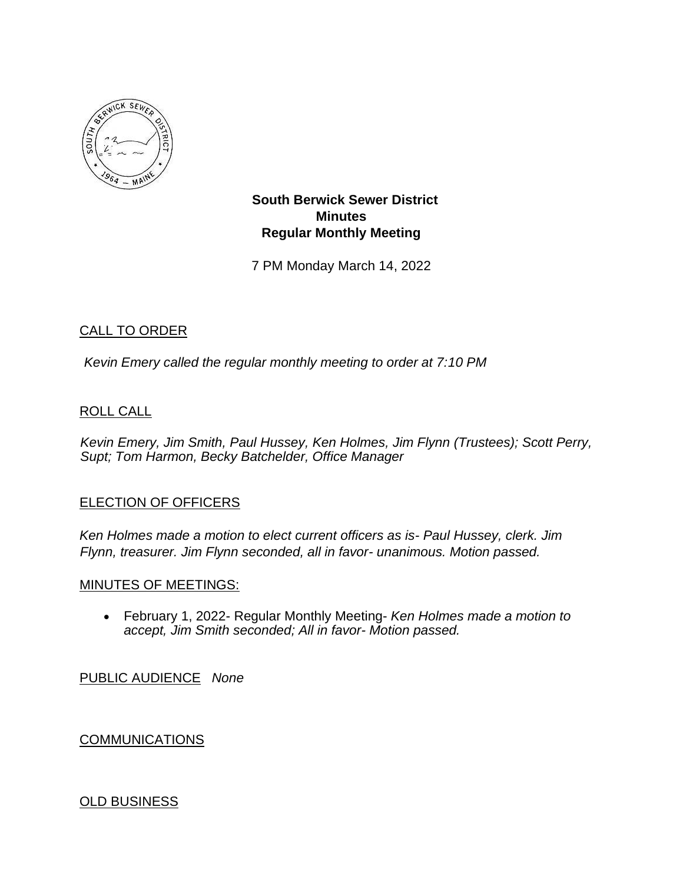

**South Berwick Sewer District Minutes Regular Monthly Meeting** 

7 PM Monday March 14, 2022

# CALL TO ORDER

*Kevin Emery called the regular monthly meeting to order at 7:10 PM*

## ROLL CALL

*Kevin Emery, Jim Smith, Paul Hussey, Ken Holmes, Jim Flynn (Trustees); Scott Perry, Supt; Tom Harmon, Becky Batchelder, Office Manager*

#### ELECTION OF OFFICERS

*Ken Holmes made a motion to elect current officers as is- Paul Hussey, clerk. Jim Flynn, treasurer. Jim Flynn seconded, all in favor- unanimous. Motion passed.* 

#### MINUTES OF MEETINGS:

• February 1, 2022- Regular Monthly Meeting- *Ken Holmes made a motion to accept, Jim Smith seconded; All in favor- Motion passed.*

PUBLIC AUDIENCE *None*

# **COMMUNICATIONS**

#### OLD BUSINESS